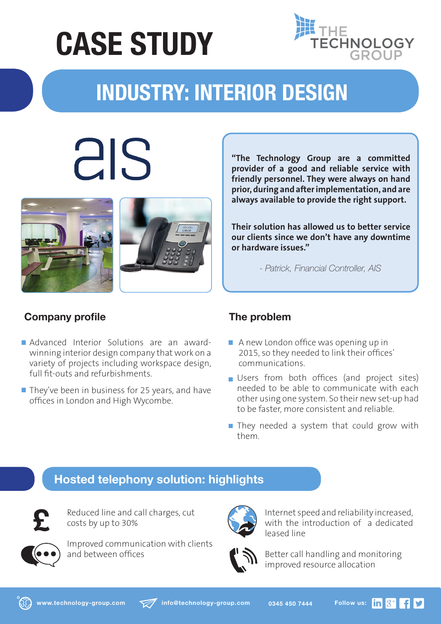## **CASE STUDY**



### **INDUSTRY: INTERIOR DESIGN**

# als





**"The Technology Group are a committed provider of a good and reliable service with friendly personnel. They were always on hand prior, during and after implementation, and are always available to provide the right support.**

**Their solution has allowed us to better service our clients since we don't have any downtime or hardware issues."**

*- Patrick, Financial Controller, AIS*

#### **Company profile**

- Advanced Interior Solutions are an awardwinning interior design company that work on a variety of projects including workspace design, full fit-outs and refurbishments.
- $\blacksquare$  They've been in business for 25 years, and have offices in London and High Wycombe.

#### **The problem**

- A new London office was opening up in 2015, so they needed to link their offices' communications.
- Users from both offices (and project sites) needed to be able to communicate with each other using one system. So their new set-up had to be faster, more consistent and reliable.
- $\blacksquare$  They needed a system that could grow with them.

#### **Hosted telephony solution: highlights**



Reduced line and call charges, cut costs by up to 30%



Improved communication with clients and between offices



Internet speed and reliability increased, with the introduction of a dedicated leased line



Better call handling and monitoring improved resource allocation